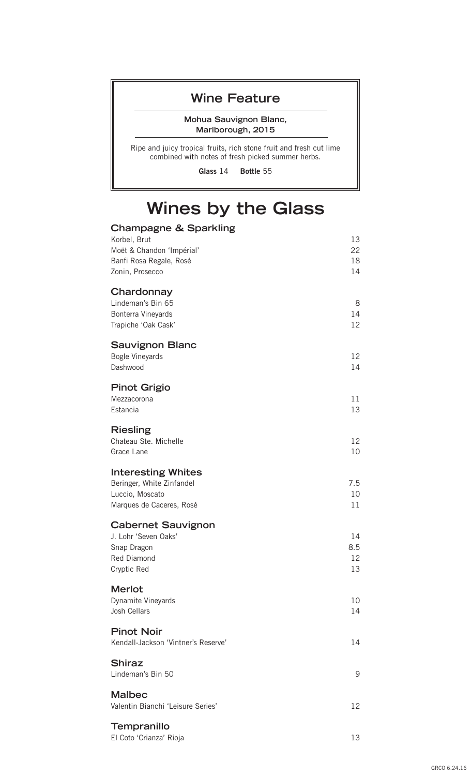#### **Wine Feature**

**Mohua Sauvignon Blanc, Marlborough, 2015**

Ripe and juicy tropical fruits, rich stone fruit and fresh cut lime combined with notes of fresh picked summer herbs.

**Glass** 14 **Bottle** 55

# **Wines by the Glass**

| <b>Champagne &amp; Sparkling</b><br>Korbel, Brut<br>Moët & Chandon 'Impérial'<br>Banfi Rosa Regale, Rosé<br>Zonin, Prosecco | 13<br>22<br>18<br>14  |
|-----------------------------------------------------------------------------------------------------------------------------|-----------------------|
| Chardonnay<br>Lindeman's Bin 65<br>Bonterra Vineyards<br>Trapiche 'Oak Cask'                                                | 8<br>14<br>12         |
| <b>Sauvignon Blanc</b><br><b>Bogle Vineyards</b><br>Dashwood                                                                | 12<br>14              |
| <b>Pinot Grigio</b><br>Mezzacorona<br>Estancia                                                                              | 11<br>13              |
| <b>Riesling</b><br>Chateau Ste. Michelle<br>Grace Lane                                                                      | 12<br>10              |
| <b>Interesting Whites</b><br>Beringer, White Zinfandel<br>Luccio, Moscato<br>Marques de Caceres, Rosé                       | 7.5<br>10<br>11       |
| <b>Cabernet Sauvignon</b><br>J. Lohr 'Seven Oaks'<br>Snap Dragon<br>Red Diamond<br>Cryptic Red                              | 14<br>8.5<br>12<br>13 |
| <b>Merlot</b><br>Dynamite Vineyards<br>Josh Cellars                                                                         | 10<br>14              |
| <b>Pinot Noir</b><br>Kendall-Jackson 'Vintner's Reserve'                                                                    | 14                    |
| <b>Shiraz</b><br>Lindeman's Bin 50                                                                                          | 9                     |
| <b>Malbec</b><br>Valentin Bianchi 'Leisure Series'                                                                          | 12                    |
| Tempranillo<br>El Coto 'Crianza' Rioja                                                                                      | 13                    |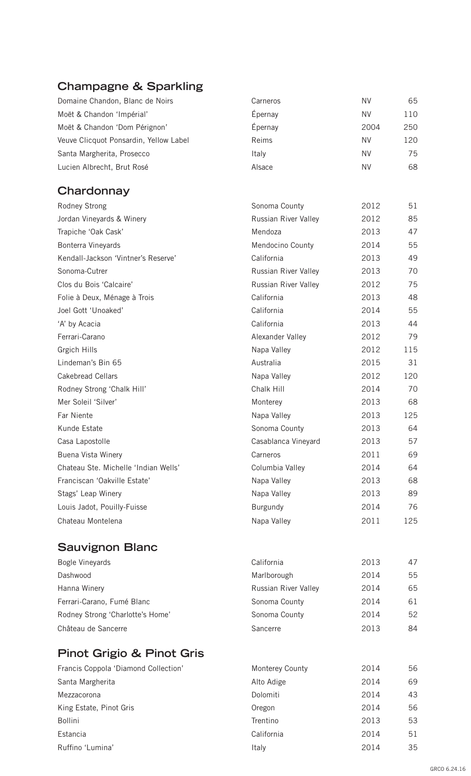## **Champagne & Sparkling**

| Domaine Chandon, Blanc de Noirs        | Carneros             | <b>NV</b> | 65  |
|----------------------------------------|----------------------|-----------|-----|
| Moët & Chandon 'Impérial'              | Épernay              | <b>NV</b> | 110 |
| Moët & Chandon 'Dom Pérignon'          | Épernay              | 2004      | 250 |
| Veuve Clicquot Ponsardin, Yellow Label | Reims                | <b>NV</b> | 120 |
| Santa Margherita, Prosecco             | Italy                | <b>NV</b> | 75  |
| Lucien Albrecht, Brut Rosé             | Alsace               | <b>NV</b> | 68  |
| Chardonnay                             |                      |           |     |
| Rodney Strong                          | Sonoma County        | 2012      | 51  |
| Jordan Vineyards & Winery              | Russian River Valley | 2012      | 85  |
| Trapiche 'Oak Cask'                    | Mendoza              | 2013      | 47  |
| Bonterra Vineyards                     | Mendocino County     | 2014      | 55  |
| Kendall-Jackson 'Vintner's Reserve'    | California           | 2013      | 49  |
| Sonoma-Cutrer                          | Russian River Valley | 2013      | 70  |
| Clos du Bois 'Calcaire'                | Russian River Valley | 2012      | 75  |
| Folie à Deux, Ménage à Trois           | California           | 2013      | 48  |
| Joel Gott 'Unoaked'                    | California           | 2014      | 55  |
| 'A' by Acacia                          | California           | 2013      | 44  |
| Ferrari-Carano                         | Alexander Valley     | 2012      | 79  |
| Grgich Hills                           | Napa Valley          | 2012      | 115 |
| Lindeman's Bin 65                      | Australia            | 2015      | 31  |
| <b>Cakebread Cellars</b>               | Napa Valley          | 2012      | 120 |
| Rodney Strong 'Chalk Hill'             | Chalk Hill           | 2014      | 70  |
| Mer Soleil 'Silver'                    | Monterey             | 2013      | 68  |
| Far Niente                             | Napa Valley          | 2013      | 125 |
| Kunde Estate                           | Sonoma County        | 2013      | 64  |
| Casa Lapostolle                        | Casablanca Vineyard  | 2013      | 57  |
| Buena Vista Winery                     | Carneros             | 2011      | 69  |
| Chateau Ste. Michelle 'Indian Wells'   | Columbia Valley      | 2014      | 64  |
| Franciscan 'Oakville Estate'           | Napa Valley          | 2013      | 68  |
| Stags' Leap Winery                     | Napa Valley          | 2013      | 89  |
| Louis Jadot, Pouilly-Fuisse            | <b>Burgundy</b>      | 2014      | 76  |
| Chateau Montelena                      | Napa Valley          | 2011      | 125 |
| <b>Sauvignon Blanc</b>                 |                      |           |     |
| Bogle Vineyards                        | California           | 2013      | 47  |
| Dashwood                               | Marlborough          | 2014      | 55  |
| Hanna Winery                           | Russian River Valley | 2014      | 65  |
| Ferrari-Carano, Fumé Blanc             | Sonoma County        | 2014      | 61  |
| Rodney Strong 'Charlotte's Home'       | Sonoma County        | 2014      | 52  |
| Château de Sancerre                    | Sancerre             | 2013      | 84  |
|                                        |                      |           |     |
| <b>Pinot Grigio &amp; Pinot Gris</b>   |                      |           |     |
| Francis Coppola 'Diamond Collection'   | Monterey County      | 2014      | 56  |
| Santa Margherita                       | Alto Adige           | 2014      | 69  |
| Mezzacorona                            | Dolomiti             | 2014      | 43  |
| King Estate, Pinot Gris                | Oregon               | 2014      | 56  |
| Bollini                                | Trentino             | 2013      | 53  |
| Estancia                               | California           | 2014      | 51  |
| Ruffino 'Lumina'                       | Italy                | 2014      | 35  |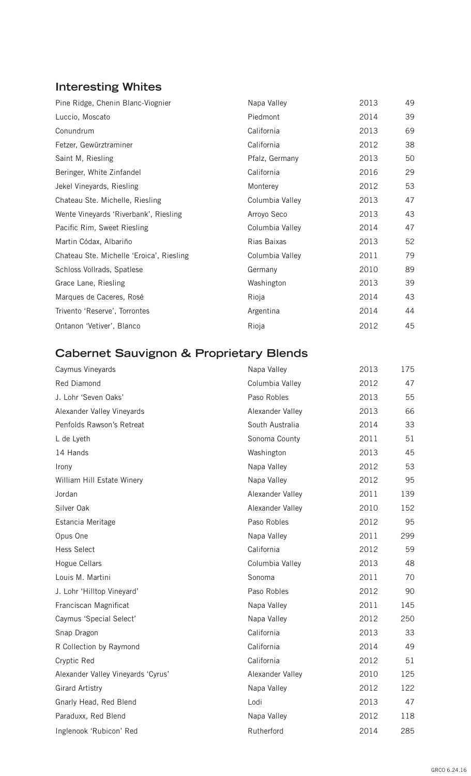### **Interesting Whites**

| Pine Ridge, Chenin Blanc-Viognier        | Napa Valley     | 2013 | 49 |
|------------------------------------------|-----------------|------|----|
| Luccio, Moscato                          | Piedmont        | 2014 | 39 |
| Conundrum                                | California      | 2013 | 69 |
| Fetzer, Gewürztraminer                   | California      | 2012 | 38 |
| Saint M, Riesling                        | Pfalz, Germany  | 2013 | 50 |
| Beringer, White Zinfandel                | California      | 2016 | 29 |
| Jekel Vineyards, Riesling                | Monterey        | 2012 | 53 |
| Chateau Ste. Michelle, Riesling          | Columbia Valley | 2013 | 47 |
| Wente Vineyards 'Riverbank', Riesling    | Arroyo Seco     | 2013 | 43 |
| Pacific Rim, Sweet Riesling              | Columbia Valley | 2014 | 47 |
| Martin Códax, Albariño                   | Rias Baixas     | 2013 | 52 |
| Chateau Ste. Michelle 'Eroica', Riesling | Columbia Valley | 2011 | 79 |
| Schloss Vollrads, Spatlese               | Germany         | 2010 | 89 |
| Grace Lane, Riesling                     | Washington      | 2013 | 39 |
| Marques de Caceres, Rosé                 | Rioja           | 2014 | 43 |
| Trivento 'Reserve', Torrontes            | Argentina       | 2014 | 44 |
| Ontanon 'Vetiver', Blanco                | Rioja           | 2012 | 45 |

### **Cabernet Sauvignon & Proprietary Blends**

| Caymus Vineyards                   | Napa Valley      | 2013 | 175 |
|------------------------------------|------------------|------|-----|
| Red Diamond                        | Columbia Valley  | 2012 | 47  |
| J. Lohr 'Seven Oaks'               | Paso Robles      | 2013 | 55  |
| Alexander Valley Vineyards         | Alexander Valley | 2013 | 66  |
| Penfolds Rawson's Retreat          | South Australia  | 2014 | 33  |
| L de Lyeth                         | Sonoma County    | 2011 | 51  |
| 14 Hands                           | Washington       | 2013 | 45  |
| Irony                              | Napa Valley      | 2012 | 53  |
| William Hill Estate Winery         | Napa Valley      | 2012 | 95  |
| Jordan                             | Alexander Valley | 2011 | 139 |
| Silver Oak                         | Alexander Valley | 2010 | 152 |
| Estancia Meritage                  | Paso Robles      | 2012 | 95  |
| Opus One                           | Napa Valley      | 2011 | 299 |
| <b>Hess Select</b>                 | California       | 2012 | 59  |
| Hogue Cellars                      | Columbia Valley  | 2013 | 48  |
| Louis M. Martini                   | Sonoma           | 2011 | 70  |
| J. Lohr 'Hilltop Vineyard'         | Paso Robles      | 2012 | 90  |
| Franciscan Magnificat              | Napa Valley      | 2011 | 145 |
| Caymus 'Special Select'            | Napa Valley      | 2012 | 250 |
| Snap Dragon                        | California       | 2013 | 33  |
| R Collection by Raymond            | California       | 2014 | 49  |
| Cryptic Red                        | California       | 2012 | 51  |
| Alexander Valley Vineyards 'Cyrus' | Alexander Valley | 2010 | 125 |
| <b>Girard Artistry</b>             | Napa Valley      | 2012 | 122 |
| Gnarly Head, Red Blend             | Lodi             | 2013 | 47  |
| Paraduxx, Red Blend                | Napa Valley      | 2012 | 118 |
| Inglenook 'Rubicon' Red            | Rutherford       | 2014 | 285 |